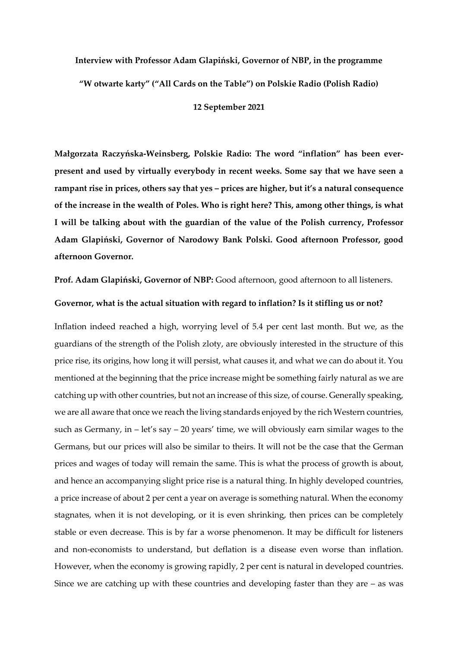# **Interview with Professor Adam Glapiński, Governor of NBP, in the programme "W otwarte karty" ("All Cards on the Table") on Polskie Radio (Polish Radio)**

**12 September 2021**

**Małgorzata Raczyńska-Weinsberg, Polskie Radio: The word "inflation" has been everpresent and used by virtually everybody in recent weeks. Some say that we have seen a rampant rise in prices, others say that yes – prices are higher, but it's a natural consequence of the increase in the wealth of Poles. Who is right here? This, among other things, is what I will be talking about with the guardian of the value of the Polish currency, Professor Adam Glapiński, Governor of Narodowy Bank Polski. Good afternoon Professor, good afternoon Governor.** 

**Prof. Adam Glapiński, Governor of NBP:** Good afternoon, good afternoon to all listeners.

### **Governor, what is the actual situation with regard to inflation? Is it stifling us or not?**

Inflation indeed reached a high, worrying level of 5.4 per cent last month. But we, as the guardians of the strength of the Polish zloty, are obviously interested in the structure of this price rise, its origins, how long it will persist, what causes it, and what we can do about it. You mentioned at the beginning that the price increase might be something fairly natural as we are catching up with other countries, but not an increase of this size, of course. Generally speaking, we are all aware that once we reach the living standards enjoyed by the rich Western countries, such as Germany, in – let's say – 20 years' time, we will obviously earn similar wages to the Germans, but our prices will also be similar to theirs. It will not be the case that the German prices and wages of today will remain the same. This is what the process of growth is about, and hence an accompanying slight price rise is a natural thing. In highly developed countries, a price increase of about 2 per cent a year on average is something natural. When the economy stagnates, when it is not developing, or it is even shrinking, then prices can be completely stable or even decrease. This is by far a worse phenomenon. It may be difficult for listeners and non-economists to understand, but deflation is a disease even worse than inflation. However, when the economy is growing rapidly, 2 per cent is natural in developed countries. Since we are catching up with these countries and developing faster than they are – as was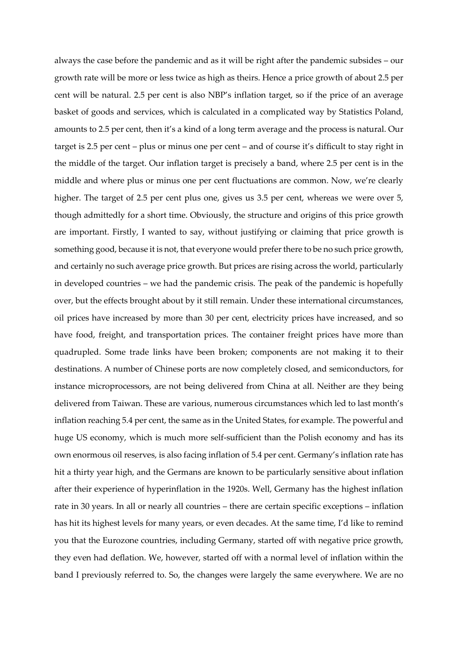always the case before the pandemic and as it will be right after the pandemic subsides – our growth rate will be more or less twice as high as theirs. Hence a price growth of about 2.5 per cent will be natural. 2.5 per cent is also NBP's inflation target, so if the price of an average basket of goods and services, which is calculated in a complicated way by Statistics Poland, amounts to 2.5 per cent, then it's a kind of a long term average and the process is natural. Our target is 2.5 per cent – plus or minus one per cent – and of course it's difficult to stay right in the middle of the target. Our inflation target is precisely a band, where 2.5 per cent is in the middle and where plus or minus one per cent fluctuations are common. Now, we're clearly higher. The target of 2.5 per cent plus one, gives us 3.5 per cent, whereas we were over 5, though admittedly for a short time. Obviously, the structure and origins of this price growth are important. Firstly, I wanted to say, without justifying or claiming that price growth is something good, because it is not, that everyone would prefer there to be no such price growth, and certainly no such average price growth. But prices are rising across the world, particularly in developed countries – we had the pandemic crisis. The peak of the pandemic is hopefully over, but the effects brought about by it still remain. Under these international circumstances, oil prices have increased by more than 30 per cent, electricity prices have increased, and so have food, freight, and transportation prices. The container freight prices have more than quadrupled. Some trade links have been broken; components are not making it to their destinations. A number of Chinese ports are now completely closed, and semiconductors, for instance microprocessors, are not being delivered from China at all. Neither are they being delivered from Taiwan. These are various, numerous circumstances which led to last month's inflation reaching 5.4 per cent, the same as in the United States, for example. The powerful and huge US economy, which is much more self-sufficient than the Polish economy and has its own enormous oil reserves, is also facing inflation of 5.4 per cent. Germany's inflation rate has hit a thirty year high, and the Germans are known to be particularly sensitive about inflation after their experience of hyperinflation in the 1920s. Well, Germany has the highest inflation rate in 30 years. In all or nearly all countries – there are certain specific exceptions – inflation has hit its highest levels for many years, or even decades. At the same time, I'd like to remind you that the Eurozone countries, including Germany, started off with negative price growth, they even had deflation. We, however, started off with a normal level of inflation within the band I previously referred to. So, the changes were largely the same everywhere. We are no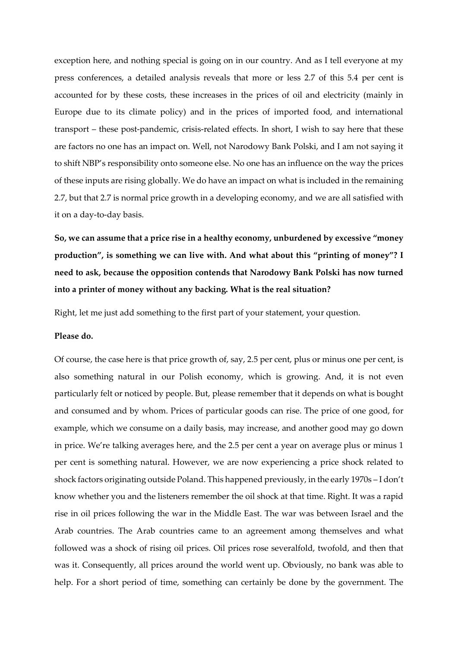exception here, and nothing special is going on in our country. And as I tell everyone at my press conferences, a detailed analysis reveals that more or less 2.7 of this 5.4 per cent is accounted for by these costs, these increases in the prices of oil and electricity (mainly in Europe due to its climate policy) and in the prices of imported food, and international transport – these post-pandemic, crisis-related effects. In short, I wish to say here that these are factors no one has an impact on. Well, not Narodowy Bank Polski, and I am not saying it to shift NBP's responsibility onto someone else. No one has an influence on the way the prices of these inputs are rising globally. We do have an impact on what is included in the remaining 2.7, but that 2.7 is normal price growth in a developing economy, and we are all satisfied with it on a day-to-day basis.

**So, we can assume that a price rise in a healthy economy, unburdened by excessive "money production", is something we can live with. And what about this "printing of money"? I need to ask, because the opposition contends that Narodowy Bank Polski has now turned into a printer of money without any backing. What is the real situation?** 

Right, let me just add something to the first part of your statement, your question.

### **Please do.**

Of course, the case here is that price growth of, say, 2.5 per cent, plus or minus one per cent, is also something natural in our Polish economy, which is growing. And, it is not even particularly felt or noticed by people. But, please remember that it depends on what is bought and consumed and by whom. Prices of particular goods can rise. The price of one good, for example, which we consume on a daily basis, may increase, and another good may go down in price. We're talking averages here, and the 2.5 per cent a year on average plus or minus 1 per cent is something natural. However, we are now experiencing a price shock related to shock factors originating outside Poland. This happened previously, in the early 1970s – I don't know whether you and the listeners remember the oil shock at that time. Right. It was a rapid rise in oil prices following the war in the Middle East. The war was between Israel and the Arab countries. The Arab countries came to an agreement among themselves and what followed was a shock of rising oil prices. Oil prices rose severalfold, twofold, and then that was it. Consequently, all prices around the world went up. Obviously, no bank was able to help. For a short period of time, something can certainly be done by the government. The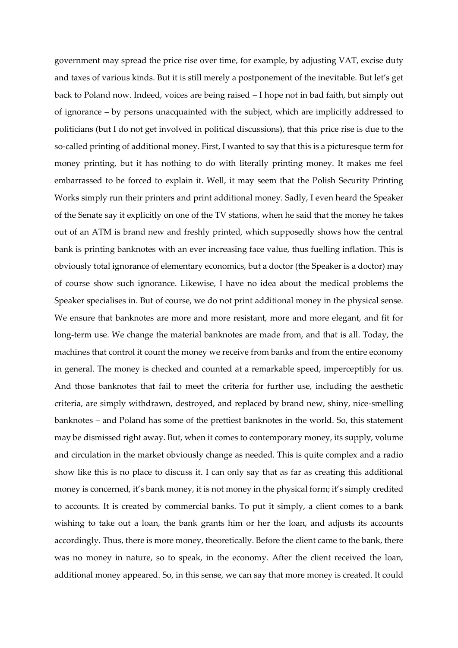government may spread the price rise over time, for example, by adjusting VAT, excise duty and taxes of various kinds. But it is still merely a postponement of the inevitable. But let's get back to Poland now. Indeed, voices are being raised – I hope not in bad faith, but simply out of ignorance – by persons unacquainted with the subject, which are implicitly addressed to politicians (but I do not get involved in political discussions), that this price rise is due to the so-called printing of additional money. First, I wanted to say that this is a picturesque term for money printing, but it has nothing to do with literally printing money. It makes me feel embarrassed to be forced to explain it. Well, it may seem that the Polish Security Printing Works simply run their printers and print additional money. Sadly, I even heard the Speaker of the Senate say it explicitly on one of the TV stations, when he said that the money he takes out of an ATM is brand new and freshly printed, which supposedly shows how the central bank is printing banknotes with an ever increasing face value, thus fuelling inflation. This is obviously total ignorance of elementary economics, but a doctor (the Speaker is a doctor) may of course show such ignorance. Likewise, I have no idea about the medical problems the Speaker specialises in. But of course, we do not print additional money in the physical sense. We ensure that banknotes are more and more resistant, more and more elegant, and fit for long-term use. We change the material banknotes are made from, and that is all. Today, the machines that control it count the money we receive from banks and from the entire economy in general. The money is checked and counted at a remarkable speed, imperceptibly for us. And those banknotes that fail to meet the criteria for further use, including the aesthetic criteria, are simply withdrawn, destroyed, and replaced by brand new, shiny, nice-smelling banknotes – and Poland has some of the prettiest banknotes in the world. So, this statement may be dismissed right away. But, when it comes to contemporary money, its supply, volume and circulation in the market obviously change as needed. This is quite complex and a radio show like this is no place to discuss it. I can only say that as far as creating this additional money is concerned, it's bank money, it is not money in the physical form; it's simply credited to accounts. It is created by commercial banks. To put it simply, a client comes to a bank wishing to take out a loan, the bank grants him or her the loan, and adjusts its accounts accordingly. Thus, there is more money, theoretically. Before the client came to the bank, there was no money in nature, so to speak, in the economy. After the client received the loan, additional money appeared. So, in this sense, we can say that more money is created. It could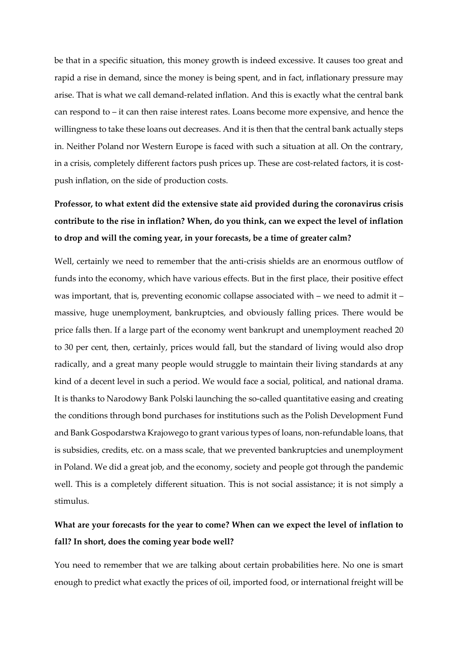be that in a specific situation, this money growth is indeed excessive. It causes too great and rapid a rise in demand, since the money is being spent, and in fact, inflationary pressure may arise. That is what we call demand-related inflation. And this is exactly what the central bank can respond to – it can then raise interest rates. Loans become more expensive, and hence the willingness to take these loans out decreases. And it is then that the central bank actually steps in. Neither Poland nor Western Europe is faced with such a situation at all. On the contrary, in a crisis, completely different factors push prices up. These are cost-related factors, it is costpush inflation, on the side of production costs.

# **Professor, to what extent did the extensive state aid provided during the coronavirus crisis contribute to the rise in inflation? When, do you think, can we expect the level of inflation to drop and will the coming year, in your forecasts, be a time of greater calm?**

Well, certainly we need to remember that the anti-crisis shields are an enormous outflow of funds into the economy, which have various effects. But in the first place, their positive effect was important, that is, preventing economic collapse associated with – we need to admit it – massive, huge unemployment, bankruptcies, and obviously falling prices. There would be price falls then. If a large part of the economy went bankrupt and unemployment reached 20 to 30 per cent, then, certainly, prices would fall, but the standard of living would also drop radically, and a great many people would struggle to maintain their living standards at any kind of a decent level in such a period. We would face a social, political, and national drama. It is thanks to Narodowy Bank Polski launching the so-called quantitative easing and creating the conditions through bond purchases for institutions such as the Polish Development Fund and Bank Gospodarstwa Krajowego to grant various types of loans, non-refundable loans, that is subsidies, credits, etc. on a mass scale, that we prevented bankruptcies and unemployment in Poland. We did a great job, and the economy, society and people got through the pandemic well. This is a completely different situation. This is not social assistance; it is not simply a stimulus.

### **What are your forecasts for the year to come? When can we expect the level of inflation to fall? In short, does the coming year bode well?**

You need to remember that we are talking about certain probabilities here. No one is smart enough to predict what exactly the prices of oil, imported food, or international freight will be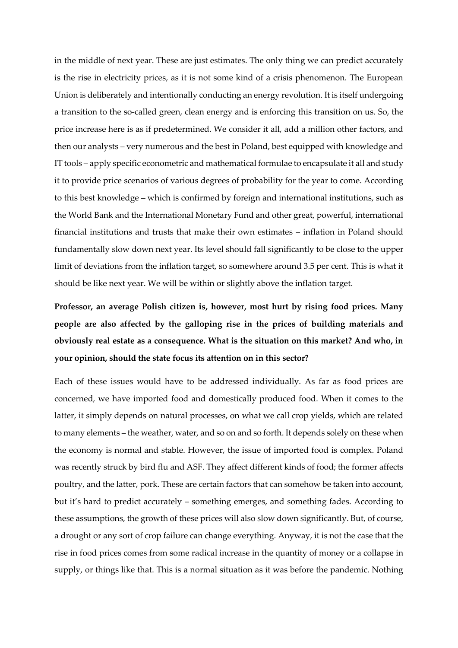in the middle of next year. These are just estimates. The only thing we can predict accurately is the rise in electricity prices, as it is not some kind of a crisis phenomenon. The European Union is deliberately and intentionally conducting an energy revolution. It is itself undergoing a transition to the so-called green, clean energy and is enforcing this transition on us. So, the price increase here is as if predetermined. We consider it all, add a million other factors, and then our analysts – very numerous and the best in Poland, best equipped with knowledge and IT tools – apply specific econometric and mathematical formulae to encapsulate it all and study it to provide price scenarios of various degrees of probability for the year to come. According to this best knowledge – which is confirmed by foreign and international institutions, such as the World Bank and the International Monetary Fund and other great, powerful, international financial institutions and trusts that make their own estimates – inflation in Poland should fundamentally slow down next year. Its level should fall significantly to be close to the upper limit of deviations from the inflation target, so somewhere around 3.5 per cent. This is what it should be like next year. We will be within or slightly above the inflation target.

**Professor, an average Polish citizen is, however, most hurt by rising food prices. Many people are also affected by the galloping rise in the prices of building materials and obviously real estate as a consequence. What is the situation on this market? And who, in your opinion, should the state focus its attention on in this sector?**

Each of these issues would have to be addressed individually. As far as food prices are concerned, we have imported food and domestically produced food. When it comes to the latter, it simply depends on natural processes, on what we call crop yields, which are related to many elements – the weather, water, and so on and so forth. It depends solely on these when the economy is normal and stable. However, the issue of imported food is complex. Poland was recently struck by bird flu and ASF. They affect different kinds of food; the former affects poultry, and the latter, pork. These are certain factors that can somehow be taken into account, but it's hard to predict accurately – something emerges, and something fades. According to these assumptions, the growth of these prices will also slow down significantly. But, of course, a drought or any sort of crop failure can change everything. Anyway, it is not the case that the rise in food prices comes from some radical increase in the quantity of money or a collapse in supply, or things like that. This is a normal situation as it was before the pandemic. Nothing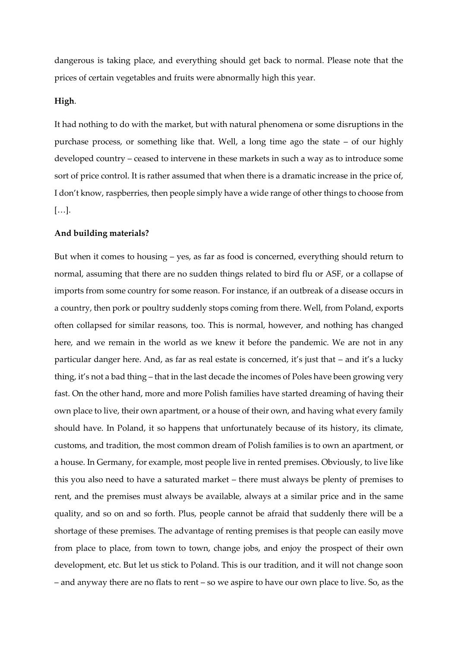dangerous is taking place, and everything should get back to normal. Please note that the prices of certain vegetables and fruits were abnormally high this year.

### **High**.

It had nothing to do with the market, but with natural phenomena or some disruptions in the purchase process, or something like that. Well, a long time ago the state – of our highly developed country – ceased to intervene in these markets in such a way as to introduce some sort of price control. It is rather assumed that when there is a dramatic increase in the price of, I don't know, raspberries, then people simply have a wide range of other things to choose from […].

#### **And building materials?**

But when it comes to housing – yes, as far as food is concerned, everything should return to normal, assuming that there are no sudden things related to bird flu or ASF, or a collapse of imports from some country for some reason. For instance, if an outbreak of a disease occurs in a country, then pork or poultry suddenly stops coming from there. Well, from Poland, exports often collapsed for similar reasons, too. This is normal, however, and nothing has changed here, and we remain in the world as we knew it before the pandemic. We are not in any particular danger here. And, as far as real estate is concerned, it's just that – and it's a lucky thing, it's not a bad thing – that in the last decade the incomes of Poles have been growing very fast. On the other hand, more and more Polish families have started dreaming of having their own place to live, their own apartment, or a house of their own, and having what every family should have. In Poland, it so happens that unfortunately because of its history, its climate, customs, and tradition, the most common dream of Polish families is to own an apartment, or a house. In Germany, for example, most people live in rented premises. Obviously, to live like this you also need to have a saturated market – there must always be plenty of premises to rent, and the premises must always be available, always at a similar price and in the same quality, and so on and so forth. Plus, people cannot be afraid that suddenly there will be a shortage of these premises. The advantage of renting premises is that people can easily move from place to place, from town to town, change jobs, and enjoy the prospect of their own development, etc. But let us stick to Poland. This is our tradition, and it will not change soon – and anyway there are no flats to rent – so we aspire to have our own place to live. So, as the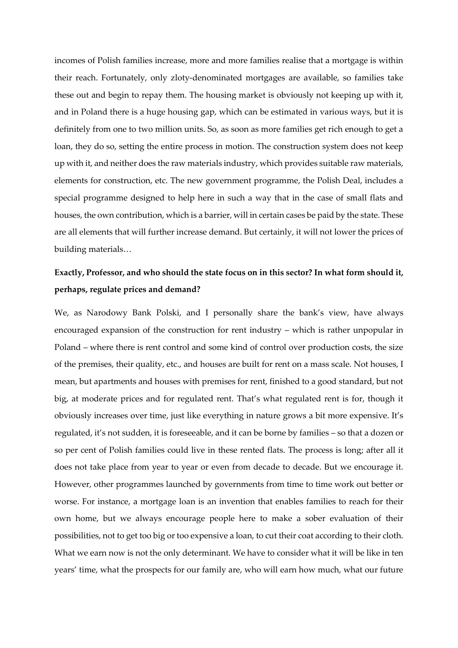incomes of Polish families increase, more and more families realise that a mortgage is within their reach. Fortunately, only zloty-denominated mortgages are available, so families take these out and begin to repay them. The housing market is obviously not keeping up with it, and in Poland there is a huge housing gap, which can be estimated in various ways, but it is definitely from one to two million units. So, as soon as more families get rich enough to get a loan, they do so, setting the entire process in motion. The construction system does not keep up with it, and neither does the raw materials industry, which provides suitable raw materials, elements for construction, etc. The new government programme, the Polish Deal, includes a special programme designed to help here in such a way that in the case of small flats and houses, the own contribution, which is a barrier, will in certain cases be paid by the state. These are all elements that will further increase demand. But certainly, it will not lower the prices of building materials…

### **Exactly, Professor, and who should the state focus on in this sector? In what form should it, perhaps, regulate prices and demand?**

We, as Narodowy Bank Polski, and I personally share the bank's view, have always encouraged expansion of the construction for rent industry – which is rather unpopular in Poland – where there is rent control and some kind of control over production costs, the size of the premises, their quality, etc., and houses are built for rent on a mass scale. Not houses, I mean, but apartments and houses with premises for rent, finished to a good standard, but not big, at moderate prices and for regulated rent. That's what regulated rent is for, though it obviously increases over time, just like everything in nature grows a bit more expensive. It's regulated, it's not sudden, it is foreseeable, and it can be borne by families – so that a dozen or so per cent of Polish families could live in these rented flats. The process is long; after all it does not take place from year to year or even from decade to decade. But we encourage it. However, other programmes launched by governments from time to time work out better or worse. For instance, a mortgage loan is an invention that enables families to reach for their own home, but we always encourage people here to make a sober evaluation of their possibilities, not to get too big or too expensive a loan, to cut their coat according to their cloth. What we earn now is not the only determinant. We have to consider what it will be like in ten years' time, what the prospects for our family are, who will earn how much, what our future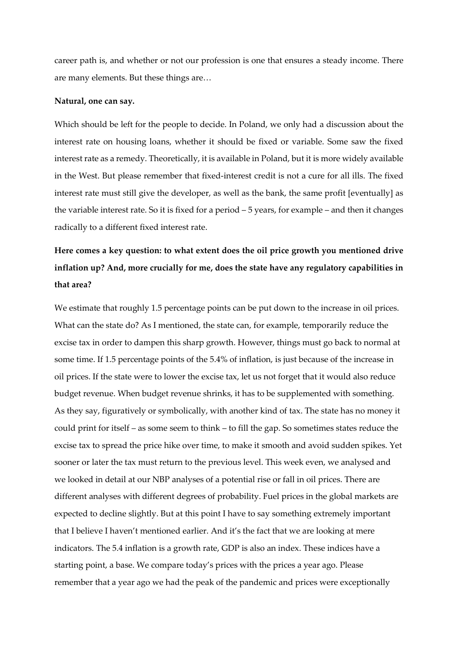career path is, and whether or not our profession is one that ensures a steady income. There are many elements. But these things are…

#### **Natural, one can say.**

Which should be left for the people to decide. In Poland, we only had a discussion about the interest rate on housing loans, whether it should be fixed or variable. Some saw the fixed interest rate as a remedy. Theoretically, it is available in Poland, but it is more widely available in the West. But please remember that fixed-interest credit is not a cure for all ills. The fixed interest rate must still give the developer, as well as the bank, the same profit [eventually] as the variable interest rate. So it is fixed for a period – 5 years, for example – and then it changes radically to a different fixed interest rate.

# **Here comes a key question: to what extent does the oil price growth you mentioned drive inflation up? And, more crucially for me, does the state have any regulatory capabilities in that area?**

We estimate that roughly 1.5 percentage points can be put down to the increase in oil prices. What can the state do? As I mentioned, the state can, for example, temporarily reduce the excise tax in order to dampen this sharp growth. However, things must go back to normal at some time. If 1.5 percentage points of the 5.4% of inflation, is just because of the increase in oil prices. If the state were to lower the excise tax, let us not forget that it would also reduce budget revenue. When budget revenue shrinks, it has to be supplemented with something. As they say, figuratively or symbolically, with another kind of tax. The state has no money it could print for itself – as some seem to think – to fill the gap. So sometimes states reduce the excise tax to spread the price hike over time, to make it smooth and avoid sudden spikes. Yet sooner or later the tax must return to the previous level. This week even, we analysed and we looked in detail at our NBP analyses of a potential rise or fall in oil prices. There are different analyses with different degrees of probability. Fuel prices in the global markets are expected to decline slightly. But at this point I have to say something extremely important that I believe I haven't mentioned earlier. And it's the fact that we are looking at mere indicators. The 5.4 inflation is a growth rate, GDP is also an index. These indices have a starting point, a base. We compare today's prices with the prices a year ago. Please remember that a year ago we had the peak of the pandemic and prices were exceptionally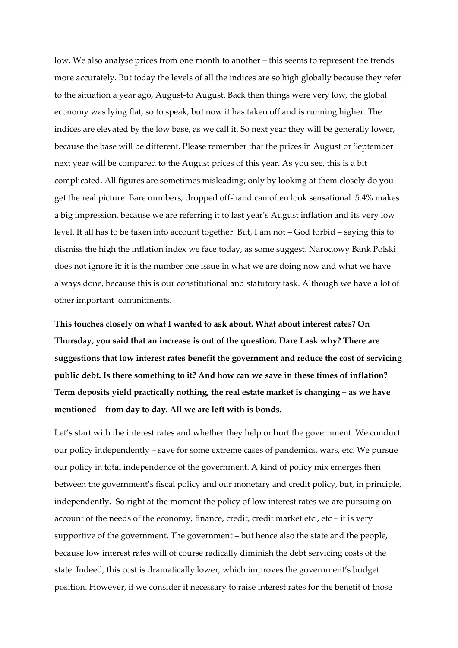low. We also analyse prices from one month to another – this seems to represent the trends more accurately. But today the levels of all the indices are so high globally because they refer to the situation a year ago, August-to August. Back then things were very low, the global economy was lying flat, so to speak, but now it has taken off and is running higher. The indices are elevated by the low base, as we call it. So next year they will be generally lower, because the base will be different. Please remember that the prices in August or September next year will be compared to the August prices of this year. As you see, this is a bit complicated. All figures are sometimes misleading; only by looking at them closely do you get the real picture. Bare numbers, dropped off-hand can often look sensational. 5.4% makes a big impression, because we are referring it to last year's August inflation and its very low level. It all has to be taken into account together. But, I am not – God forbid – saying this to dismiss the high the inflation index we face today, as some suggest. Narodowy Bank Polski does not ignore it: it is the number one issue in what we are doing now and what we have always done, because this is our constitutional and statutory task. Although we have a lot of other important commitments.

**This touches closely on what I wanted to ask about. What about interest rates? On Thursday, you said that an increase is out of the question. Dare I ask why? There are suggestions that low interest rates benefit the government and reduce the cost of servicing public debt. Is there something to it? And how can we save in these times of inflation? Term deposits yield practically nothing, the real estate market is changing – as we have mentioned – from day to day. All we are left with is bonds.**

Let's start with the interest rates and whether they help or hurt the government. We conduct our policy independently – save for some extreme cases of pandemics, wars, etc. We pursue our policy in total independence of the government. A kind of policy mix emerges then between the government's fiscal policy and our monetary and credit policy, but, in principle, independently. So right at the moment the policy of low interest rates we are pursuing on account of the needs of the economy, finance, credit, credit market etc., etc – it is very supportive of the government. The government – but hence also the state and the people, because low interest rates will of course radically diminish the debt servicing costs of the state. Indeed, this cost is dramatically lower, which improves the government's budget position. However, if we consider it necessary to raise interest rates for the benefit of those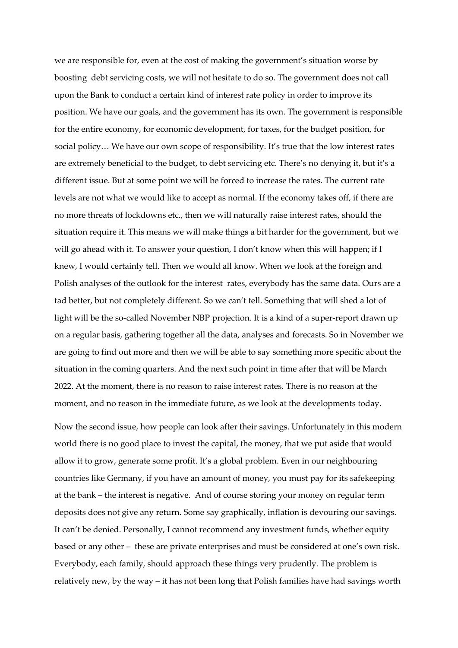we are responsible for, even at the cost of making the government's situation worse by boosting debt servicing costs, we will not hesitate to do so. The government does not call upon the Bank to conduct a certain kind of interest rate policy in order to improve its position. We have our goals, and the government has its own. The government is responsible for the entire economy, for economic development, for taxes, for the budget position, for social policy… We have our own scope of responsibility. It's true that the low interest rates are extremely beneficial to the budget, to debt servicing etc. There's no denying it, but it's a different issue. But at some point we will be forced to increase the rates. The current rate levels are not what we would like to accept as normal. If the economy takes off, if there are no more threats of lockdowns etc., then we will naturally raise interest rates, should the situation require it. This means we will make things a bit harder for the government, but we will go ahead with it. To answer your question, I don't know when this will happen; if I knew, I would certainly tell. Then we would all know. When we look at the foreign and Polish analyses of the outlook for the interest rates, everybody has the same data. Ours are a tad better, but not completely different. So we can't tell. Something that will shed a lot of light will be the so-called November NBP projection. It is a kind of a super-report drawn up on a regular basis, gathering together all the data, analyses and forecasts. So in November we are going to find out more and then we will be able to say something more specific about the situation in the coming quarters. And the next such point in time after that will be March 2022. At the moment, there is no reason to raise interest rates. There is no reason at the moment, and no reason in the immediate future, as we look at the developments today.

Now the second issue, how people can look after their savings. Unfortunately in this modern world there is no good place to invest the capital, the money, that we put aside that would allow it to grow, generate some profit. It's a global problem. Even in our neighbouring countries like Germany, if you have an amount of money, you must pay for its safekeeping at the bank – the interest is negative. And of course storing your money on regular term deposits does not give any return. Some say graphically, inflation is devouring our savings. It can't be denied. Personally, I cannot recommend any investment funds, whether equity based or any other – these are private enterprises and must be considered at one's own risk. Everybody, each family, should approach these things very prudently. The problem is relatively new, by the way – it has not been long that Polish families have had savings worth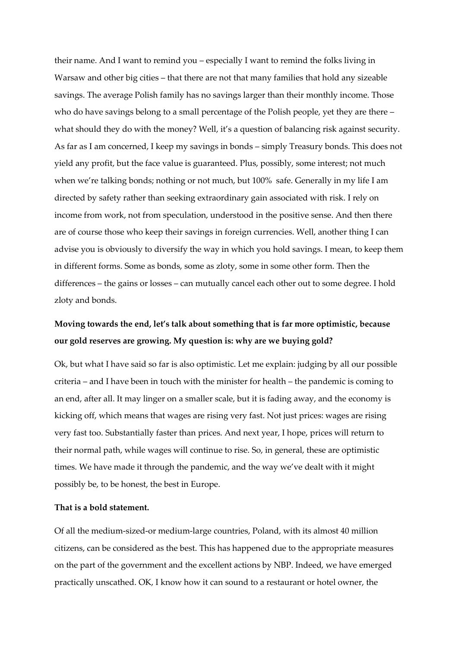their name. And I want to remind you – especially I want to remind the folks living in Warsaw and other big cities – that there are not that many families that hold any sizeable savings. The average Polish family has no savings larger than their monthly income. Those who do have savings belong to a small percentage of the Polish people, yet they are there – what should they do with the money? Well, it's a question of balancing risk against security. As far as I am concerned, I keep my savings in bonds – simply Treasury bonds. This does not yield any profit, but the face value is guaranteed. Plus, possibly, some interest; not much when we're talking bonds; nothing or not much, but 100% safe. Generally in my life I am directed by safety rather than seeking extraordinary gain associated with risk. I rely on income from work, not from speculation, understood in the positive sense. And then there are of course those who keep their savings in foreign currencies. Well, another thing I can advise you is obviously to diversify the way in which you hold savings. I mean, to keep them in different forms. Some as bonds, some as zloty, some in some other form. Then the differences – the gains or losses – can mutually cancel each other out to some degree. I hold zloty and bonds.

### **Moving towards the end, let's talk about something that is far more optimistic, because our gold reserves are growing. My question is: why are we buying gold?**

Ok, but what I have said so far is also optimistic. Let me explain: judging by all our possible criteria – and I have been in touch with the minister for health – the pandemic is coming to an end, after all. It may linger on a smaller scale, but it is fading away, and the economy is kicking off, which means that wages are rising very fast. Not just prices: wages are rising very fast too. Substantially faster than prices. And next year, I hope, prices will return to their normal path, while wages will continue to rise. So, in general, these are optimistic times. We have made it through the pandemic, and the way we've dealt with it might possibly be, to be honest, the best in Europe.

### **That is a bold statement.**

Of all the medium-sized-or medium-large countries, Poland, with its almost 40 million citizens, can be considered as the best. This has happened due to the appropriate measures on the part of the government and the excellent actions by NBP. Indeed, we have emerged practically unscathed. OK, I know how it can sound to a restaurant or hotel owner, the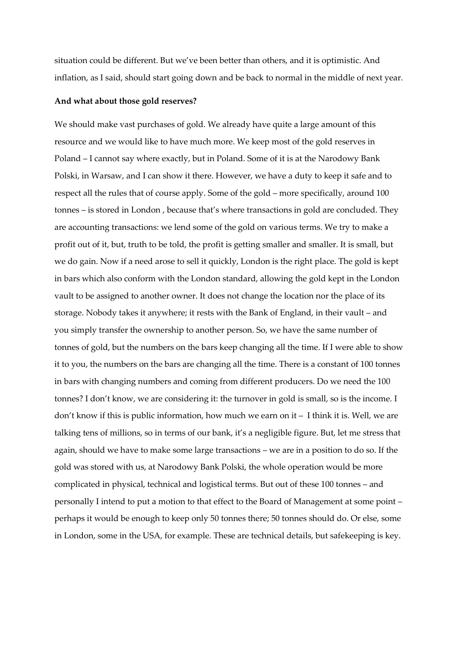situation could be different. But we've been better than others, and it is optimistic. And inflation, as I said, should start going down and be back to normal in the middle of next year.

#### **And what about those gold reserves?**

We should make vast purchases of gold. We already have quite a large amount of this resource and we would like to have much more. We keep most of the gold reserves in Poland – I cannot say where exactly, but in Poland. Some of it is at the Narodowy Bank Polski, in Warsaw, and I can show it there. However, we have a duty to keep it safe and to respect all the rules that of course apply. Some of the gold – more specifically, around 100 tonnes – is stored in London , because that's where transactions in gold are concluded. They are accounting transactions: we lend some of the gold on various terms. We try to make a profit out of it, but, truth to be told, the profit is getting smaller and smaller. It is small, but we do gain. Now if a need arose to sell it quickly, London is the right place. The gold is kept in bars which also conform with the London standard, allowing the gold kept in the London vault to be assigned to another owner. It does not change the location nor the place of its storage. Nobody takes it anywhere; it rests with the Bank of England, in their vault – and you simply transfer the ownership to another person. So, we have the same number of tonnes of gold, but the numbers on the bars keep changing all the time. If I were able to show it to you, the numbers on the bars are changing all the time. There is a constant of 100 tonnes in bars with changing numbers and coming from different producers. Do we need the 100 tonnes? I don't know, we are considering it: the turnover in gold is small, so is the income. I don't know if this is public information, how much we earn on it – I think it is. Well, we are talking tens of millions, so in terms of our bank, it's a negligible figure. But, let me stress that again, should we have to make some large transactions – we are in a position to do so. If the gold was stored with us, at Narodowy Bank Polski, the whole operation would be more complicated in physical, technical and logistical terms. But out of these 100 tonnes – and personally I intend to put a motion to that effect to the Board of Management at some point – perhaps it would be enough to keep only 50 tonnes there; 50 tonnes should do. Or else, some in London, some in the USA, for example. These are technical details, but safekeeping is key.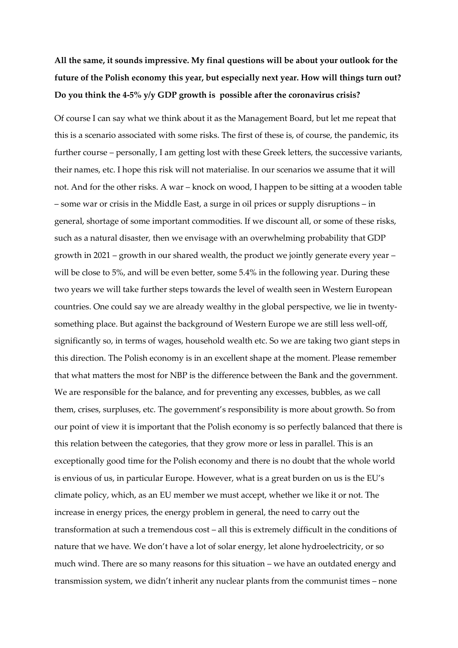# **All the same, it sounds impressive. My final questions will be about your outlook for the future of the Polish economy this year, but especially next year. How will things turn out? Do you think the 4-5% y/y GDP growth is possible after the coronavirus crisis?**

Of course I can say what we think about it as the Management Board, but let me repeat that this is a scenario associated with some risks. The first of these is, of course, the pandemic, its further course – personally, I am getting lost with these Greek letters, the successive variants, their names, etc. I hope this risk will not materialise. In our scenarios we assume that it will not. And for the other risks. A war – knock on wood, I happen to be sitting at a wooden table – some war or crisis in the Middle East, a surge in oil prices or supply disruptions – in general, shortage of some important commodities. If we discount all, or some of these risks, such as a natural disaster, then we envisage with an overwhelming probability that GDP growth in 2021 – growth in our shared wealth, the product we jointly generate every year – will be close to 5%, and will be even better, some 5.4% in the following year. During these two years we will take further steps towards the level of wealth seen in Western European countries. One could say we are already wealthy in the global perspective, we lie in twentysomething place. But against the background of Western Europe we are still less well-off, significantly so, in terms of wages, household wealth etc. So we are taking two giant steps in this direction. The Polish economy is in an excellent shape at the moment. Please remember that what matters the most for NBP is the difference between the Bank and the government. We are responsible for the balance, and for preventing any excesses, bubbles, as we call them, crises, surpluses, etc. The government's responsibility is more about growth. So from our point of view it is important that the Polish economy is so perfectly balanced that there is this relation between the categories, that they grow more or less in parallel. This is an exceptionally good time for the Polish economy and there is no doubt that the whole world is envious of us, in particular Europe. However, what is a great burden on us is the EU's climate policy, which, as an EU member we must accept, whether we like it or not. The increase in energy prices, the energy problem in general, the need to carry out the transformation at such a tremendous cost – all this is extremely difficult in the conditions of nature that we have. We don't have a lot of solar energy, let alone hydroelectricity, or so much wind. There are so many reasons for this situation – we have an outdated energy and transmission system, we didn't inherit any nuclear plants from the communist times – none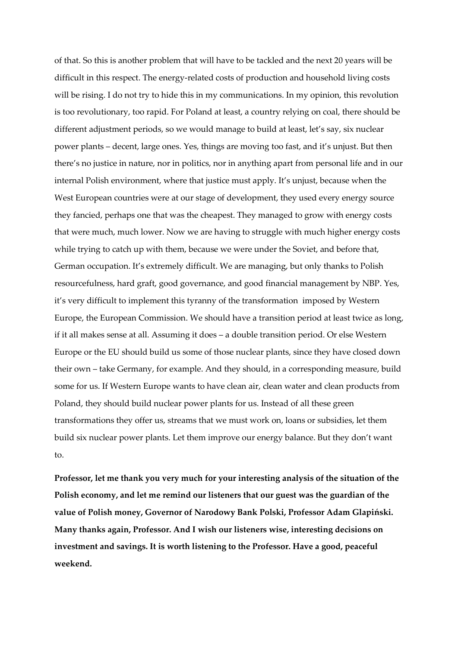of that. So this is another problem that will have to be tackled and the next 20 years will be difficult in this respect. The energy-related costs of production and household living costs will be rising. I do not try to hide this in my communications. In my opinion, this revolution is too revolutionary, too rapid. For Poland at least, a country relying on coal, there should be different adjustment periods, so we would manage to build at least, let's say, six nuclear power plants – decent, large ones. Yes, things are moving too fast, and it's unjust. But then there's no justice in nature, nor in politics, nor in anything apart from personal life and in our internal Polish environment, where that justice must apply. It's unjust, because when the West European countries were at our stage of development, they used every energy source they fancied, perhaps one that was the cheapest. They managed to grow with energy costs that were much, much lower. Now we are having to struggle with much higher energy costs while trying to catch up with them, because we were under the Soviet, and before that, German occupation. It's extremely difficult. We are managing, but only thanks to Polish resourcefulness, hard graft, good governance, and good financial management by NBP. Yes, it's very difficult to implement this tyranny of the transformation imposed by Western Europe, the European Commission. We should have a transition period at least twice as long, if it all makes sense at all. Assuming it does – a double transition period. Or else Western Europe or the EU should build us some of those nuclear plants, since they have closed down their own – take Germany, for example. And they should, in a corresponding measure, build some for us. If Western Europe wants to have clean air, clean water and clean products from Poland, they should build nuclear power plants for us. Instead of all these green transformations they offer us, streams that we must work on, loans or subsidies, let them build six nuclear power plants. Let them improve our energy balance. But they don't want to.

**Professor, let me thank you very much for your interesting analysis of the situation of the Polish economy, and let me remind our listeners that our guest was the guardian of the value of Polish money, Governor of Narodowy Bank Polski, Professor Adam Glapiński. Many thanks again, Professor. And I wish our listeners wise, interesting decisions on investment and savings. It is worth listening to the Professor. Have a good, peaceful weekend.**